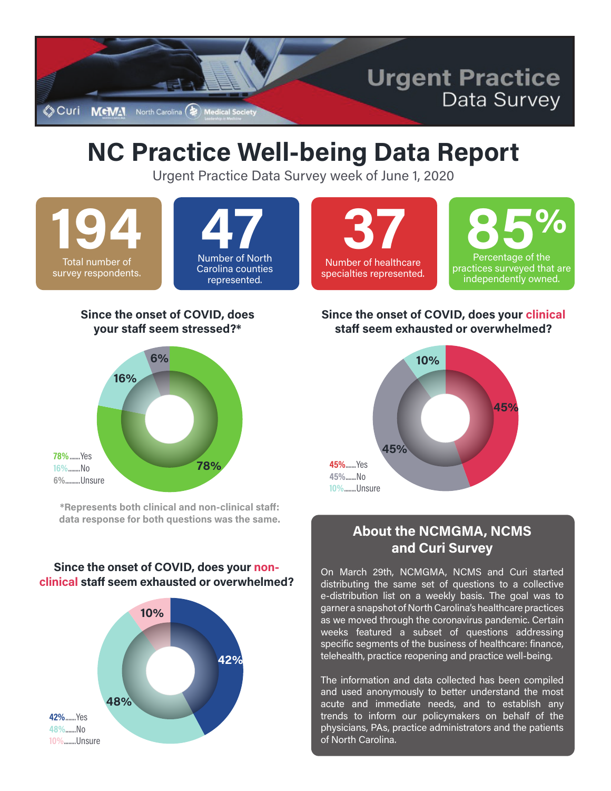

# **NC Practice Well-being Data Report**

Urgent Practice Data Survey week of June 1, 2020

**194** Total number of survey respondents.

## Number of North **47** Carolina counties represented.

## **37** Number of healthcare specialties represented.



#### **Since the onset of COVID, does your staff seem stressed?\***



**\*Represents both clinical and non-clinical staff: data response for both questions was the same.**

### **Since the onset of COVID, does your nonclinical staff seem exhausted or overwhelmed?**



### **Since the onset of COVID, does your clinical staff seem exhausted or overwhelmed?**



## **About the NCMGMA, NCMS and Curi Survey**

On March 29th, NCMGMA, NCMS and Curi started distributing the same set of questions to a collective e-distribution list on a weekly basis. The goal was to garner a snapshot of North Carolina's healthcare practices as we moved through the coronavirus pandemic. Certain weeks featured a subset of questions addressing specific segments of the business of healthcare: finance, telehealth, practice reopening and practice well-being.

The information and data collected has been compiled and used anonymously to better understand the most acute and immediate needs, and to establish any trends to inform our policymakers on behalf of the physicians, PAs, practice administrators and the patients of North Carolina.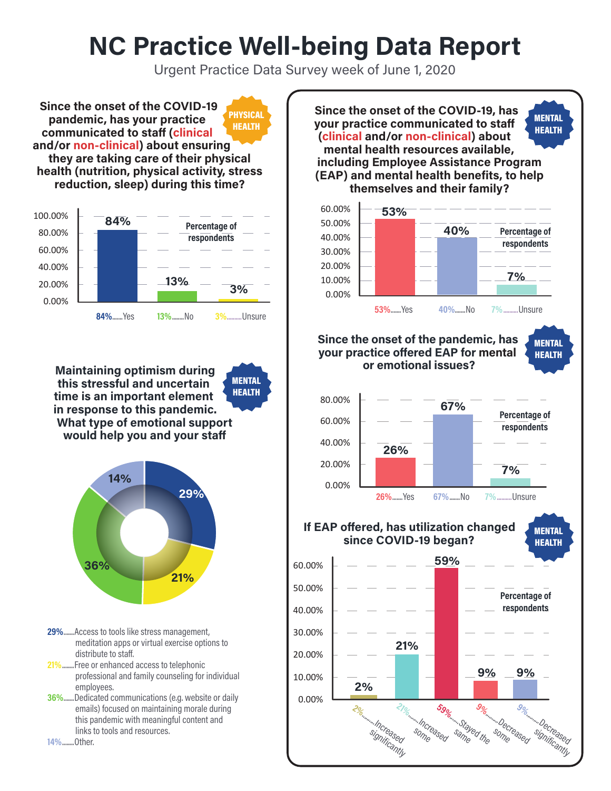# **NC Practice Well-being Data Report**

Urgent Practice Data Survey week of June 1, 2020

**Since the onset of the COVID-19 pandemic, has your practice communicated to staff (clinical and/or non-clinical) about ensuring**  PHYSICAL HEALTH

**they are taking care of their physical health (nutrition, physical activity, stress reduction, sleep) during this time?**



**Maintaining optimism during this stressful and uncertain time is an important element in response to this pandemic. What type of emotional support would help you and your staff** 

**MENTAL** HEALTH



- **29%** .......Access to tools like stress management, meditation apps or virtual exercise options to distribute to staff.
- **21%** ........Free or enhanced access to telephonic professional and family counseling for individual employees.
- **36%** .......Dedicated communications (e.g. website or daily emails) focused on maintaining morale during this pandemic with meaningful content and links to tools and resources.

**14%** ........Other.

**Since the onset of the COVID-19, has your practice communicated to staff (clinical and/or non-clinical) about mental health resources available, including Employee Assistance Program (EAP) and mental health benefits, to help themselves and their family? Since the onset of the pandemic, has your practice offered EAP for mental or emotional issues? If EAP offered, has utilization changed since COVID-19 began? 59%** .......Stayed the same 0.00% 10.00% 20.00% 30.00% 40.00% 50.00% 60.00% **53%**.......Yes **53% 40% 7% 40%**.......No **7%**..........Unsure 0.00% 20.00% 40.00% 60.00% 80.00% 0.00% 10.00% 20.00% 30.00% 40.00% 50.00% 60.00% **26%**.......Yes **26% 67% 7% 67%**.......No **7%**..........Unsure **2% 21% 59% 9% 9% 2%** ..........Increased significantly **Increased** some **9%** ..........Decreased significa<sub>ntly</sub> **9%** ..........Decreased some **respondents Percentage of respondents Percentage of respondents Percentage of respondents MENTAL** HEALTH MENTAL HEALTH **MENTAL** HEALTH